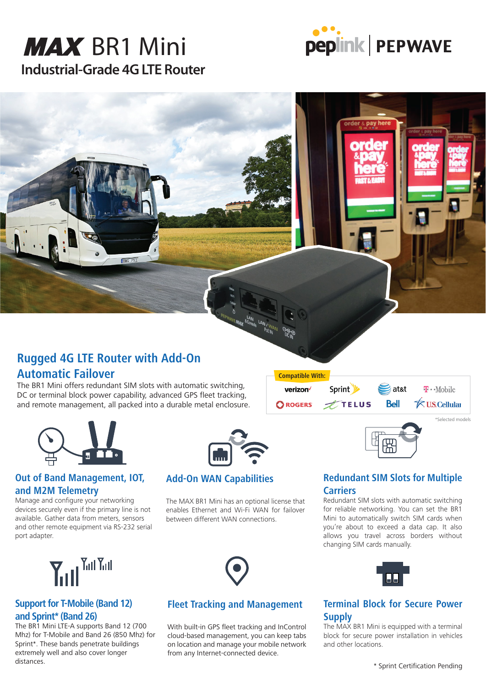# **Industrial-Grade 4G LTE Router MAX** BR1 Mini



### **Rugged 4G LTE Router with Add-On Automatic Failover**

The BR1 Mini offers redundant SIM slots with automatic switching, DC or terminal block power capability, advanced GPS fleet tracking, and remote management, all packed into a durable metal enclosure.

**BWG 75** 



**Compatible With:**

verizon<sup>V</sup>

Sprint **V** 

**FIELUS** 

#### **Out of Band Management, IOT, and M2M Telemetry**

Manage and configure your networking devices securely even if the primary line is not available. Gather data from meters, sensors and other remote equipment via RS-232 serial port adapter.



#### **Add-On WAN Capabilities**

The MAX BR1 Mini has an optional license that enables Ethernet and Wi-Fi WAN for failover between different WAN connections.



#### **Fleet Tracking and Management**

With built-in GPS fleet tracking and InControl cloud-based management, you can keep tabs on location and manage your mobile network from any Internet-connected device.

#### **Redundant SIM Slots for Multiple Carriers**

倸

at&t

**Bell** 

\*Selected models

 $T \cdot$ Mobile

**≮U.S.Cellulai** 

Redundant SIM slots with automatic switching for reliable networking. You can set the BR1 Mini to automatically switch SIM cards when you're about to exceed a data cap. It also allows you travel across borders without changing SIM cards manually.



#### **Terminal Block for Secure Power Supply**

The MAX BR1 Mini is equipped with a terminal block for secure power installation in vehicles and other locations.



#### **Support for T-Mobile (Band 12) and Sprint\* (Band 26)**

The BR1 Mini LTE-A supports Band 12 (700 Mhz) for T-Mobile and Band 26 (850 Mhz) for Sprint\*. These bands penetrate buildings extremely well and also cover longer distances.